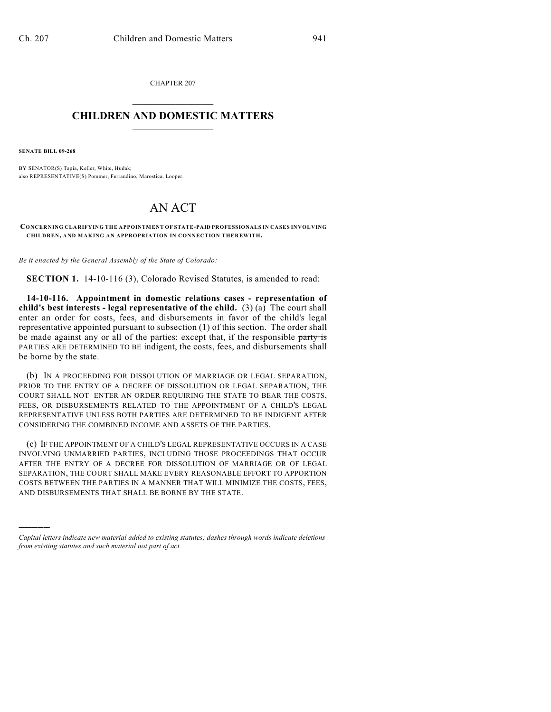CHAPTER 207  $\mathcal{L}_\text{max}$  . The set of the set of the set of the set of the set of the set of the set of the set of the set of the set of the set of the set of the set of the set of the set of the set of the set of the set of the set

## **CHILDREN AND DOMESTIC MATTERS**  $\_$

**SENATE BILL 09-268**

)))))

BY SENATOR(S) Tapia, Keller, White, Hudak; also REPRESENTATIVE(S) Pommer, Ferrandino, Marostica, Looper.

## AN ACT

**CONCERNING CLARIFYING THE APPOINTMENT OF STATE-PAID PROFESSIONALS IN CASES INVOLVING CHILDREN, AND MAKING AN APPROPRIATION IN CONNECTION THEREWITH.**

*Be it enacted by the General Assembly of the State of Colorado:*

**SECTION 1.** 14-10-116 (3), Colorado Revised Statutes, is amended to read:

**14-10-116. Appointment in domestic relations cases - representation of child's best interests - legal representative of the child.** (3) (a) The court shall enter an order for costs, fees, and disbursements in favor of the child's legal representative appointed pursuant to subsection (1) of this section. The order shall be made against any or all of the parties; except that, if the responsible party is PARTIES ARE DETERMINED TO BE indigent, the costs, fees, and disbursements shall be borne by the state.

(b) IN A PROCEEDING FOR DISSOLUTION OF MARRIAGE OR LEGAL SEPARATION, PRIOR TO THE ENTRY OF A DECREE OF DISSOLUTION OR LEGAL SEPARATION, THE COURT SHALL NOT ENTER AN ORDER REQUIRING THE STATE TO BEAR THE COSTS, FEES, OR DISBURSEMENTS RELATED TO THE APPOINTMENT OF A CHILD'S LEGAL REPRESENTATIVE UNLESS BOTH PARTIES ARE DETERMINED TO BE INDIGENT AFTER CONSIDERING THE COMBINED INCOME AND ASSETS OF THE PARTIES.

(c) IF THE APPOINTMENT OF A CHILD'S LEGAL REPRESENTATIVE OCCURS IN A CASE INVOLVING UNMARRIED PARTIES, INCLUDING THOSE PROCEEDINGS THAT OCCUR AFTER THE ENTRY OF A DECREE FOR DISSOLUTION OF MARRIAGE OR OF LEGAL SEPARATION, THE COURT SHALL MAKE EVERY REASONABLE EFFORT TO APPORTION COSTS BETWEEN THE PARTIES IN A MANNER THAT WILL MINIMIZE THE COSTS, FEES, AND DISBURSEMENTS THAT SHALL BE BORNE BY THE STATE.

*Capital letters indicate new material added to existing statutes; dashes through words indicate deletions from existing statutes and such material not part of act.*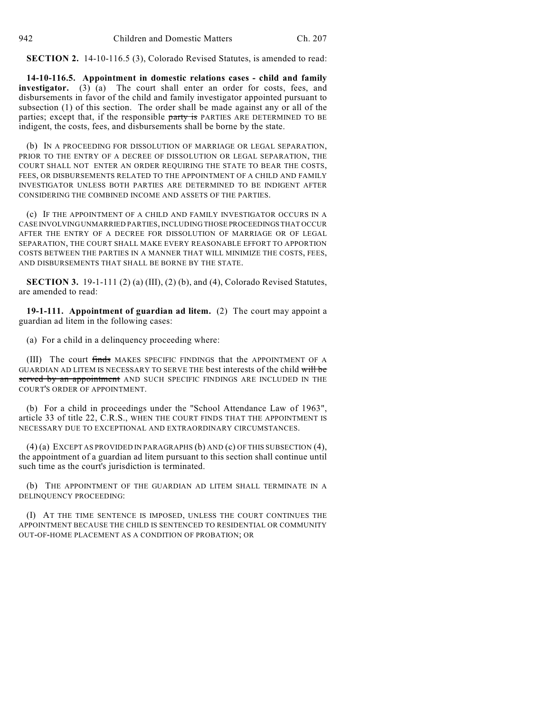**SECTION 2.** 14-10-116.5 (3), Colorado Revised Statutes, is amended to read:

**14-10-116.5. Appointment in domestic relations cases - child and family investigator.** (3) (a) The court shall enter an order for costs, fees, and disbursements in favor of the child and family investigator appointed pursuant to subsection (1) of this section. The order shall be made against any or all of the parties; except that, if the responsible party is PARTIES ARE DETERMINED TO BE indigent, the costs, fees, and disbursements shall be borne by the state.

(b) IN A PROCEEDING FOR DISSOLUTION OF MARRIAGE OR LEGAL SEPARATION, PRIOR TO THE ENTRY OF A DECREE OF DISSOLUTION OR LEGAL SEPARATION, THE COURT SHALL NOT ENTER AN ORDER REQUIRING THE STATE TO BEAR THE COSTS, FEES, OR DISBURSEMENTS RELATED TO THE APPOINTMENT OF A CHILD AND FAMILY INVESTIGATOR UNLESS BOTH PARTIES ARE DETERMINED TO BE INDIGENT AFTER CONSIDERING THE COMBINED INCOME AND ASSETS OF THE PARTIES.

(c) IF THE APPOINTMENT OF A CHILD AND FAMILY INVESTIGATOR OCCURS IN A CASE INVOLVING UNMARRIED PARTIES, INCLUDING THOSE PROCEEDINGS THAT OCCUR AFTER THE ENTRY OF A DECREE FOR DISSOLUTION OF MARRIAGE OR OF LEGAL SEPARATION, THE COURT SHALL MAKE EVERY REASONABLE EFFORT TO APPORTION COSTS BETWEEN THE PARTIES IN A MANNER THAT WILL MINIMIZE THE COSTS, FEES, AND DISBURSEMENTS THAT SHALL BE BORNE BY THE STATE.

**SECTION 3.** 19-1-111 (2) (a) (III), (2) (b), and (4), Colorado Revised Statutes, are amended to read:

**19-1-111. Appointment of guardian ad litem.** (2) The court may appoint a guardian ad litem in the following cases:

(a) For a child in a delinquency proceeding where:

(III) The court finds MAKES SPECIFIC FINDINGS that the APPOINTMENT OF A GUARDIAN AD LITEM IS NECESSARY TO SERVE THE best interests of the child will be served by an appointment AND SUCH SPECIFIC FINDINGS ARE INCLUDED IN THE COURT'S ORDER OF APPOINTMENT.

(b) For a child in proceedings under the "School Attendance Law of 1963", article 33 of title 22, C.R.S., WHEN THE COURT FINDS THAT THE APPOINTMENT IS NECESSARY DUE TO EXCEPTIONAL AND EXTRAORDINARY CIRCUMSTANCES.

(4) (a) EXCEPT AS PROVIDED IN PARAGRAPHS (b) AND (c) OFTHIS SUBSECTION (4), the appointment of a guardian ad litem pursuant to this section shall continue until such time as the court's jurisdiction is terminated.

(b) THE APPOINTMENT OF THE GUARDIAN AD LITEM SHALL TERMINATE IN A DELINQUENCY PROCEEDING:

(I) AT THE TIME SENTENCE IS IMPOSED, UNLESS THE COURT CONTINUES THE APPOINTMENT BECAUSE THE CHILD IS SENTENCED TO RESIDENTIAL OR COMMUNITY OUT-OF-HOME PLACEMENT AS A CONDITION OF PROBATION; OR